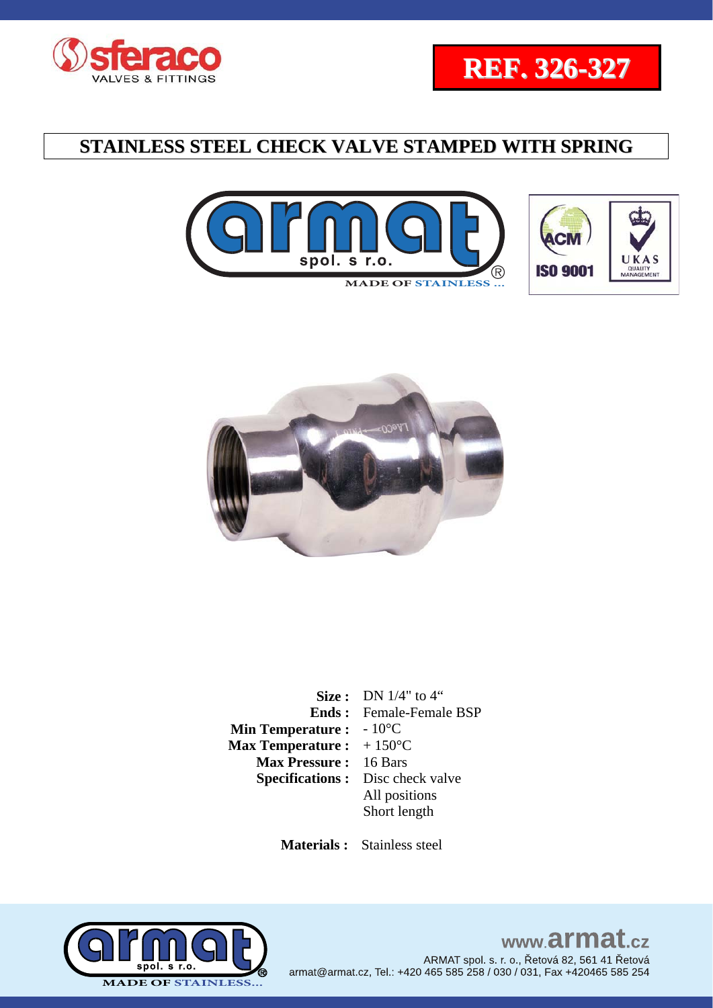









|                         | <b>Size:</b> DN $1/4$ " to $4$ " |
|-------------------------|----------------------------------|
| Ends :                  | Female-Female BSP                |
| <b>Min Temperature:</b> | $-10^{\circ}$ C                  |
| <b>Max Temperature:</b> | $+150^{\circ}$ C                 |
| <b>Max Pressure:</b>    | 16 Bars                          |
| <b>Specifications:</b>  | Disc check valve                 |
|                         | All positions                    |
|                         | Short length                     |
|                         |                                  |

 **Materials :** Stainless steel

![](_page_0_Picture_8.jpeg)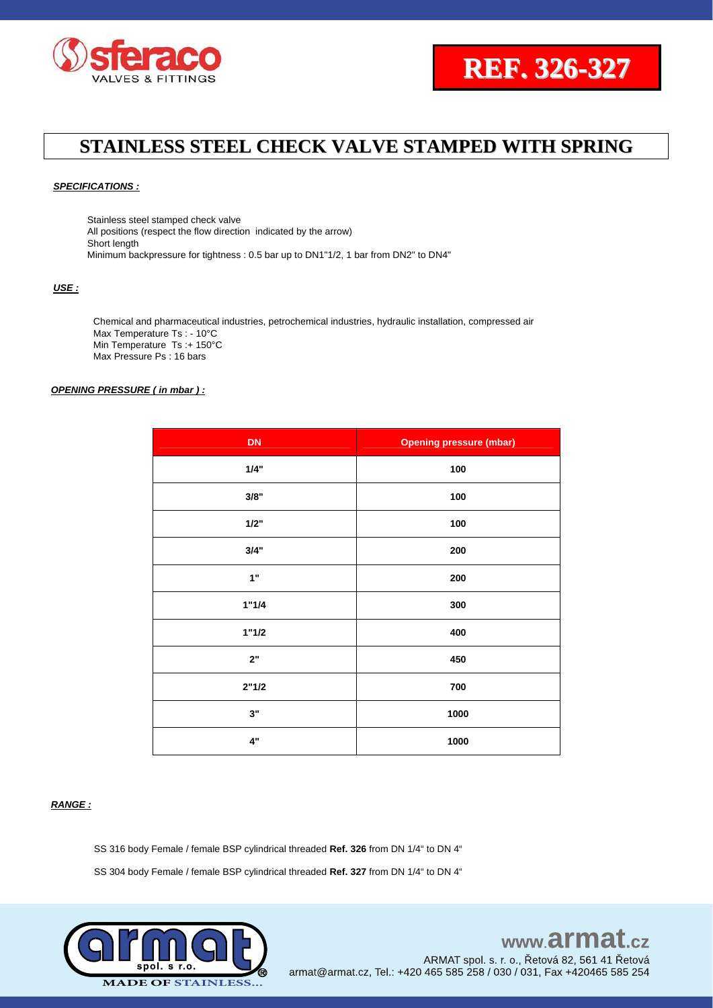![](_page_1_Picture_0.jpeg)

![](_page_1_Picture_1.jpeg)

#### *SPECIFICATIONS :*

Stainless steel stamped check valve All positions (respect the flow direction indicated by the arrow) Short length Minimum backpressure for tightness : 0.5 bar up to DN1"1/2, 1 bar from DN2" to DN4"

#### *USE :*

Chemical and pharmaceutical industries, petrochemical industries, hydraulic installation, compressed air Max Temperature Ts : - 10°C Min Temperature Ts :+ 150°C Max Pressure Ps : 16 bars

#### *OPENING PRESSURE ( in mbar ) :*

| <b>DN</b> | <b>Opening pressure (mbar)</b> |
|-----------|--------------------------------|
| 1/4"      | 100                            |
| 3/8"      | $100\,$                        |
| 1/2"      | 100                            |
| 3/4"      | 200                            |
| 1"        | 200                            |
| 1"1/4     | 300                            |
| 1"1/2     | 400                            |
| 2"        | 450                            |
| 2"1/2     | 700                            |
| 3"        | 1000                           |
| 4"        | 1000                           |

#### *RANGE :*

SS 316 body Female / female BSP cylindrical threaded **Ref. 326** from DN 1/4" to DN 4"

SS 304 body Female / female BSP cylindrical threaded **Ref. 327** from DN 1/4" to DN 4"

![](_page_1_Picture_12.jpeg)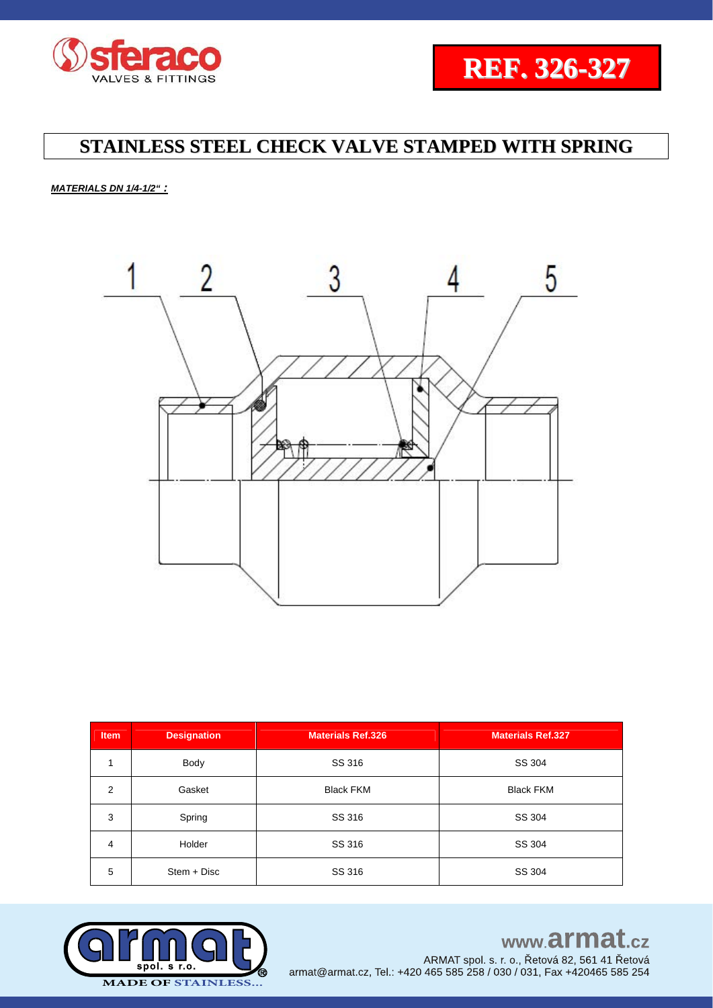![](_page_2_Picture_0.jpeg)

![](_page_2_Picture_1.jpeg)

*MATERIALS DN 1/4-1/2" :*

![](_page_2_Picture_4.jpeg)

| <b>Item</b> | <b>Designation</b> | <b>Materials Ref.326</b> | <b>Materials Ref.327</b> |  |  |  |
|-------------|--------------------|--------------------------|--------------------------|--|--|--|
|             | Body               | SS 316                   | SS 304                   |  |  |  |
| 2           | Gasket             | <b>Black FKM</b>         | <b>Black FKM</b>         |  |  |  |
| 3           | Spring             | SS 316                   | SS 304                   |  |  |  |
| 4           | Holder             | SS 316                   | SS 304                   |  |  |  |
| 5           | $Stem + Disc$      | SS 316                   | SS 304                   |  |  |  |

![](_page_2_Picture_6.jpeg)

# www.armat.cz

ARMAT spol. s. r. o., Řetová 82, 561 41 Řetová armat@armat.cz, Tel.: +420 465 585 258 / 030 / 031, Fax +420465 585 254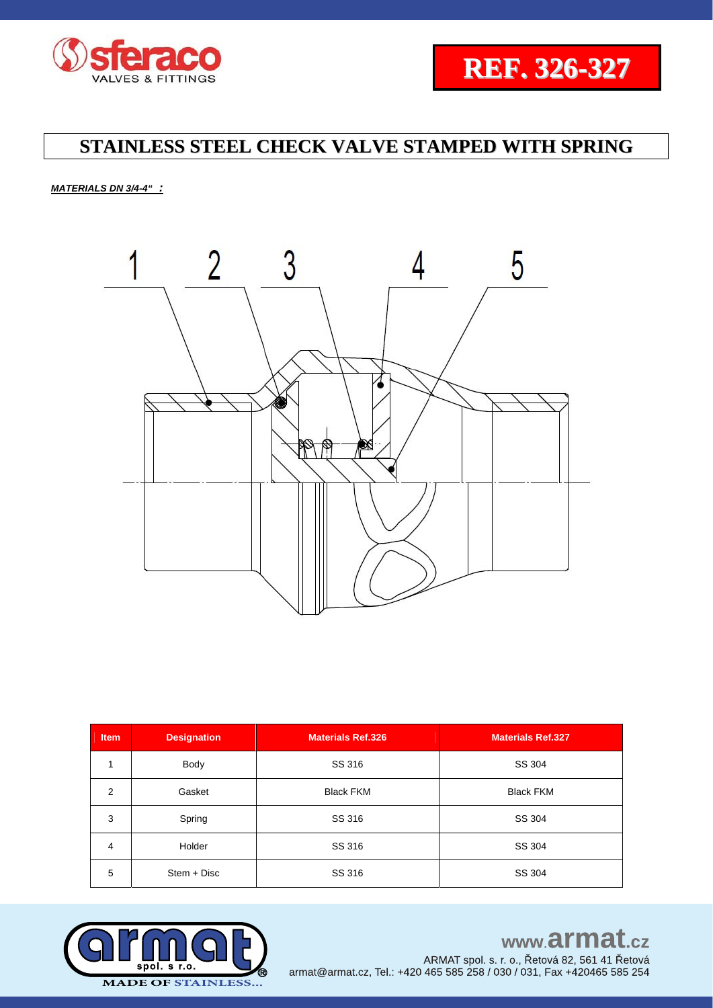![](_page_3_Picture_0.jpeg)

![](_page_3_Picture_1.jpeg)

*MATERIALS DN 3/4-4" :*

![](_page_3_Picture_4.jpeg)

| Item           | <b>Designation</b> | <b>Materials Ref.326</b> | <b>Materials Ref.327</b> |  |  |
|----------------|--------------------|--------------------------|--------------------------|--|--|
|                | Body               | SS 316                   | SS 304                   |  |  |
| 2              | Gasket             | <b>Black FKM</b>         | <b>Black FKM</b>         |  |  |
| 3              | Spring             | SS 316                   | SS 304                   |  |  |
| $\overline{4}$ | Holder             | SS 316                   | SS 304                   |  |  |
| 5              | $Stem + Disc$      | SS 316                   | SS 304                   |  |  |

![](_page_3_Picture_6.jpeg)

# www.armat.cz

ARMAT spol. s. r. o., Řetová 82, 561 41 Řetová armat@armat.cz, Tel.: +420 465 585 258 / 030 / 031, Fax +420465 585 254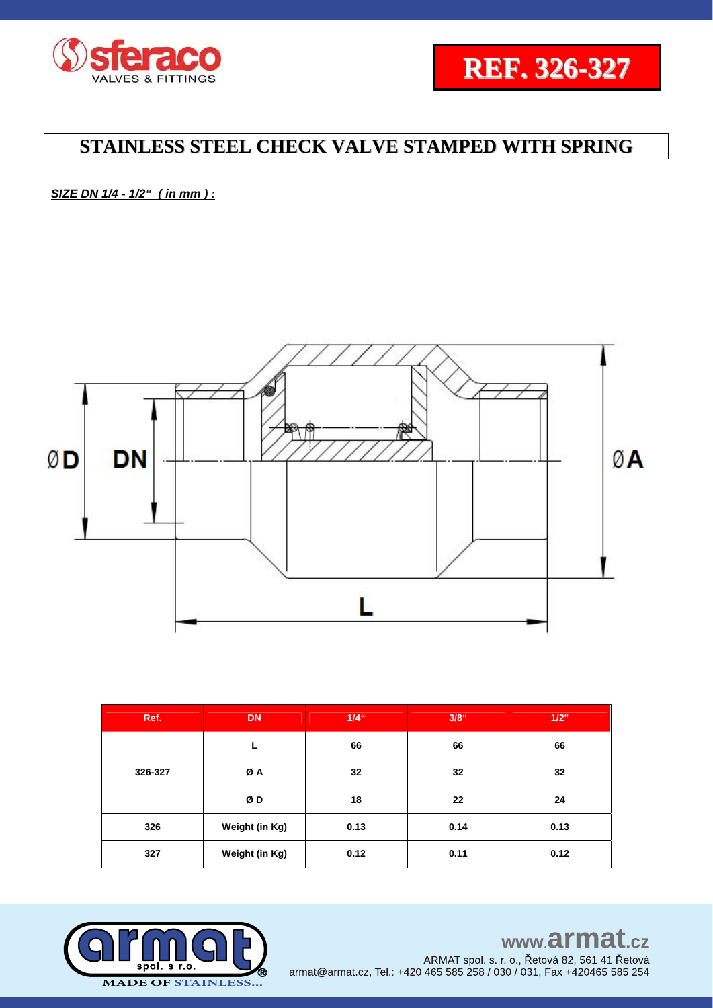![](_page_4_Picture_0.jpeg)

![](_page_4_Picture_1.jpeg)

*SIZE DN 1/4 - 1/2" ( in mm ) :* 

![](_page_4_Figure_4.jpeg)

| Ref.    | <b>DN</b>      | $1/4$ " | $3/8$ " | 1/2" |  |
|---------|----------------|---------|---------|------|--|
|         | L              | 66      | 66      | 66   |  |
| 326-327 | ØA             | 32      | 32      | 32   |  |
|         | ØD             | 18      | 22      | 24   |  |
| 326     | Weight (in Kg) | 0.13    | 0.14    | 0.13 |  |
| 327     | Weight (in Kg) | 0.12    | 0.11    | 0.12 |  |

![](_page_4_Picture_6.jpeg)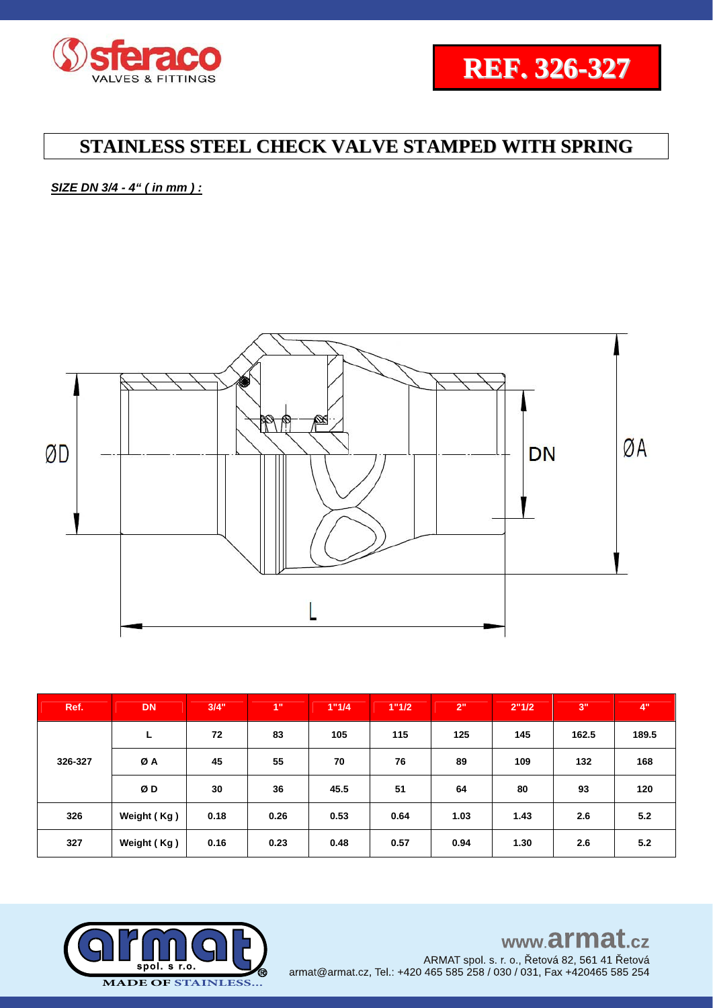![](_page_5_Picture_0.jpeg)

![](_page_5_Picture_1.jpeg)

*SIZE DN 3/4 - 4" ( in mm ) :* 

![](_page_5_Figure_4.jpeg)

| Ref.    | <b>DN</b>   | 3/4" | 1"   | 1"1/4 | 1"1/2 | 2"   | 2"1/2 | <b>3"</b> | 4"    |
|---------|-------------|------|------|-------|-------|------|-------|-----------|-------|
| 326-327 | L           | 72   | 83   | 105   | 115   | 125  | 145   | 162.5     | 189.5 |
|         | ØA          | 45   | 55   | 70    | 76    | 89   | 109   | 132       | 168   |
|         | ØD          | 30   | 36   | 45.5  | 51    | 64   | 80    | 93        | 120   |
| 326     | Weight (Kg) | 0.18 | 0.26 | 0.53  | 0.64  | 1.03 | 1.43  | 2.6       | 5.2   |
| 327     | Weight (Kg) | 0.16 | 0.23 | 0.48  | 0.57  | 0.94 | 1.30  | 2.6       | 5.2   |

![](_page_5_Picture_6.jpeg)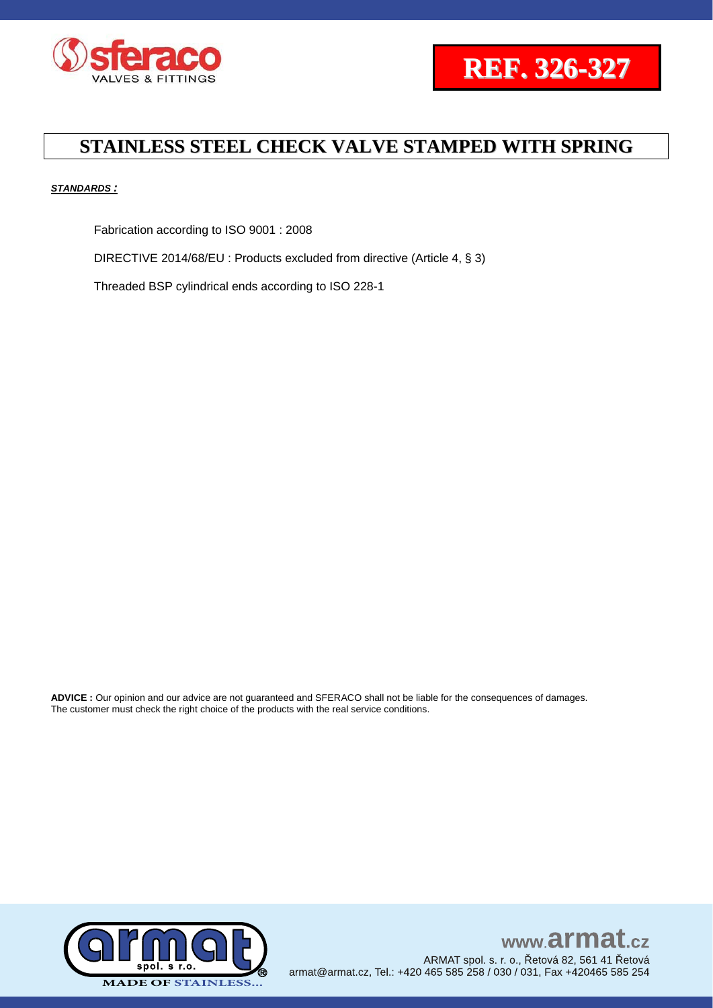![](_page_6_Picture_0.jpeg)

![](_page_6_Picture_1.jpeg)

#### *STANDARDS :*

Fabrication according to ISO 9001 : 2008

DIRECTIVE 2014/68/EU : Products excluded from directive (Article 4, § 3)

Threaded BSP cylindrical ends according to ISO 228-1

**ADVICE :** Our opinion and our advice are not guaranteed and SFERACO shall not be liable for the consequences of damages. The customer must check the right choice of the products with the real service conditions.

![](_page_6_Picture_8.jpeg)

www.armat.  $c\overline{z}$ ARMAT spol. s. r. o., Řetová 82, 561 41 Řetová armat@armat.cz, Tel.: +420 465 585 258 / 030 / 031, Fax +420465 585 254